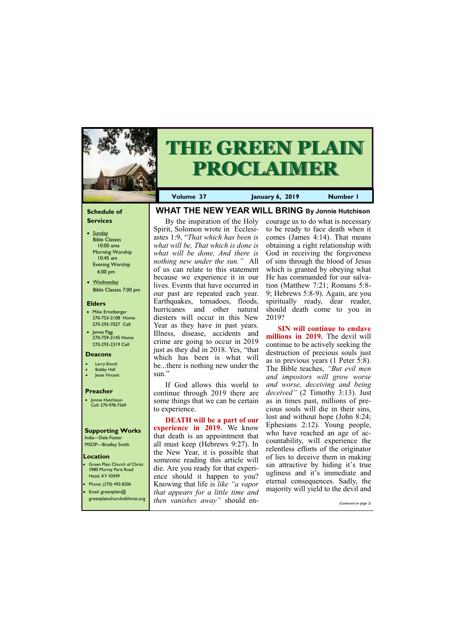## **Schedule of Services**

- Sunday Bible Classes 10:00 ama Morning Worship 10:45 am Evening Worship 6:00 pm
- Wednesday Bible Classes 7:00 pm

## **Elders**

**Green Plain Church of Christ** 3980 Murray Paris Road Hazel, KY 42049 • Phone: (270) 492-8206

- Mike Ernstberger 270-753-2108 Home 270-293-7027 Cell
- James Pigg 270-759-2145 Home 270-293-2319 Cell

# **Location**



# **THE GREEN PLAIN PROCLAIMER**

**Volume 37 January 6, 2019 Number 1**

### **Deacons**

- **Larry Enoch**
- **Bobby Hall**
- **Jesse Vincent**

## **Preacher**

• Jonnie Hutchison Cell: 270-978-7569

# **Supporting Works**

India—Dale Foster MSOP—Bradley Smith

# **WHAT THE NEW YEAR WILL BRING By Jonnie Hutchison**

By the inspiration of the Holy Spirit, Solomon wrote in Ecclesiastes 1:9, "*That which has been is what will be, That which is done is what will be done, And there is nothing new under the sun."* All of us can relate to this statement because we experience it in our lives. Events that have occurred in our past are repeated each year. Earthquakes, tornadoes, floods, hurricanes and other natural diesters will occur in this New Year as they have in past years. Illness, disease, accidents and crime are going to occur in 2019 just as they did in 2018. Yes, "that which has been is what will be...there is nothing new under the sun."

If God allows this world to continue through 2019 there are some things that we can be certain to experience.

**DEATH will be a part of our experience in 2019.** We know that death is an appointment that all must keep (Hebrews 9:27). In the New Year, it is possible that someone reading this article will die. Are you ready for that experience should it happen to you? Knowing that life is *like "a vapor* 

| Email: greenplain $@$        | $\frac{1}{2}$ and $\frac{1}{2}$ and $\frac{1}{2}$ and $\frac{1}{2}$ and $\frac{1}{2}$<br>I that appears for a little time and | majority will yield to the devil and |
|------------------------------|-------------------------------------------------------------------------------------------------------------------------------|--------------------------------------|
| greenplainchurchofchrist.org | <i>then vanishes away</i> " should en-                                                                                        | (Continued on page 3)                |

courage us to do what is necessary to be ready to face death when it comes (James 4:14). That means obtaining a right relationship with God in receiving the forgiveness of sins through the blood of Jesus which is granted by obeying what He has commanded for our salvation (Matthew 7:21; Romans 5:8- 9; Hebrews 5:8-9). Again, are you spiritually ready, dear reader, should death come to you in 2019?

**SIN will continue to enslave millions in 2019.** The devil will continue to be actively seeking the destruction of precious souls just as in previous years (1 Peter 5:8). The Bible teaches, *"But evil men and impostors will grow worse and worse, deceiving and being deceived"* (2 Timothy 3:13). Just as in times past, millions of precious souls will die in their sins, lost and without hope (John 8:24; Ephesians 2:12). Young people, who have reached an age of accountability, will experience the relentless efforts of the originator of lies to deceive them in making sin attractive by hiding it's true ugliness and it's immediate and eternal consequences. Sadly, the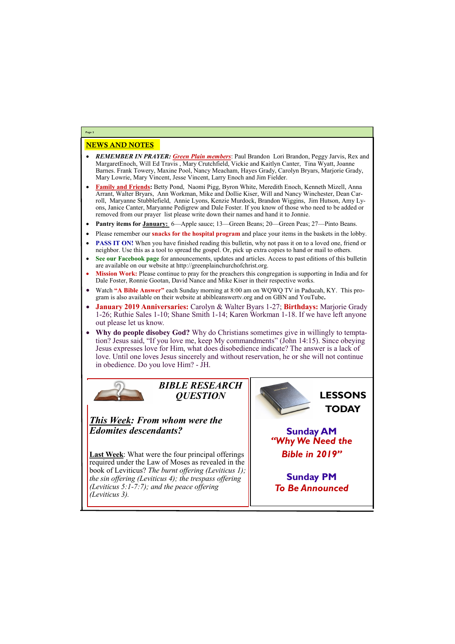# NEWS AND NOTES

- *REMEMBER IN PRAYER: Green Plain members*: Paul Brandon Lori Brandon, Peggy Jarvis, Rex and MargaretEnoch, Will Ed Travis , Mary Crutchfield, Vickie and Kaitlyn Canter, Tina Wyatt, Joanne Barnes. Frank Towery, Maxine Pool, Nancy Meacham, Hayes Grady, Carolyn Bryars, Marjorie Grady, Mary Lowrie, Mary Vincent, Jesse Vincent, Larry Enoch and Jim Fielder.
- **Family and Friends:** Betty Pond, Naomi Pigg, Byron White, Meredith Enoch, Kenneth Mizell, Anna Arrant, Walter Bryars, Ann Workman, Mike and Dollie Kiser, Will and Nancy Winchester, Dean Carroll, Maryanne Stubblefield, Annie Lyons, Kenzie Murdock, Brandon Wiggins, Jim Hutson, Amy Lyons, Janice Canter, Maryanne Pedigrew and Dale Foster. If you know of those who need to be added or removed from our prayer list please write down their names and hand it to Jonnie.
- **Pantry items for January:** 6—Apple sauce; 13—Green Beans; 20—Green Peas; 27—Pinto Beans.
- Please remember our **snacks for the hospital program** and place your items in the baskets in the lobby.
- **PASS IT ON!** When you have finished reading this bulletin, why not pass it on to a loved one, friend or neighbor. Use this as a tool to spread the gospel. Or, pick up extra copies to hand or mail to others.
- **See our Facebook page** for announcements, updates and articles. Access to past editions of this bulletin are available on our website at http://greenplainchurchofchrist.org.
- **Mission Work:** Please continue to pray for the preachers this congregation is supporting in India and for Dale Foster, Ronnie Gootan, David Nance and Mike Kiser in their respective works.
- Watch **"A Bible Answer"** each Sunday morning at 8:00 am on WQWQ TV in Paducah, KY. This program is also available on their website at abibleanswertv.org and on GBN and YouTube**.**
- **January 2019 Anniversaries:** Carolyn & Walter Byars 1-27; **Birthdays:** Marjorie Grady 1-26; Ruthie Sales 1-10; Shane Smith 1-14; Karen Workman 1-18. If we have left anyone out please let us know.
- **Why do people disobey God?** Why do Christians sometimes give in willingly to temptation? Jesus said, "If you love me, keep My commandments" (John 14:15). Since obeying Jesus expresses love for Him, what does disobedience indicate? The answer is a lack of love. Until one loves Jesus sincerely and without reservation, he or she will not continue in obedience. Do you love Him? - JH.



**Last Week**: What were the four principal offerings required under the Law of Moses as revealed in the book of Leviticus? *The burnt offering (Leviticus 1); the sin offering (Leviticus 4); the trespass offering*   $(i$ *tigus* 5:1-7:7); and the peace offer

**Page 2**

*BIBLE RESEARCH QUESTION*

*This Week: From whom were the Edomites descendants?* 

| (Leviticus 5:1-7:7); and the peace offering<br><b>To Be Announced</b><br>(Leviticus 3). |
|-----------------------------------------------------------------------------------------|
|-----------------------------------------------------------------------------------------|

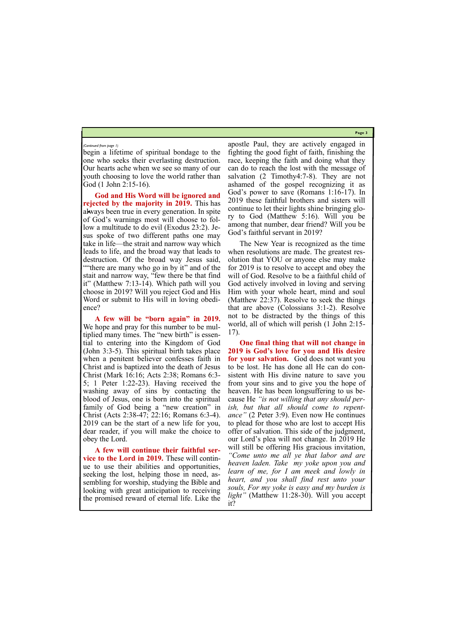**Page 3**

begin a lifetime of spiritual bondage to the one who seeks their everlasting destruction. Our hearts ache when we see so many of our youth choosing to love the world rather than God (1 John 2:15-16).

**God and His Word will be ignored and rejected by the majority in 2019.** This has always been true in every generation. In spite of God's warnings most will choose to follow a multitude to do evil (Exodus 23:2). Jesus spoke of two different paths one may take in life—the strait and narrow way which leads to life, and the broad way that leads to destruction. Of the broad way Jesus said, ""there are many who go in by it" and of the stait and narrow way, "few there be that find it" (Matthew 7:13-14). Which path will you choose in 2019? Will you reject God and His Word or submit to His will in loving obedience?

**A few will be "born again" in 2019.**  We hope and pray for this number to be multiplied many times. The "new birth" is essential to entering into the Kingdom of God (John 3:3-5). This spiritual birth takes place when a penitent believer confesses faith in Christ and is baptized into the death of Jesus Christ (Mark 16:16; Acts 2:38; Romans 6:3- 5; 1 Peter 1:22-23). Having received the washing away of sins by contacting the blood of Jesus, one is born into the spiritual family of God being a "new creation" in Christ (Acts 2:38-47; 22:16; Romans 6:3-4). 2019 can be the start of a new life for you, dear reader, if you will make the choice to obey the Lord.

**A few will continue their faithful service to the Lord in 2019.** These will continue to use their abilities and opportunities, seeking the lost, helping those in need, assembling for worship, studying the Bible and

looking with great anticipation to receiving the promised reward of eternal life. Like the *souls, For my yoke is easy and my burden is light"* (Matthew 11:28-30). Will you accept it?

apostle Paul, they are actively engaged in fighting the good fight of faith, finishing the race, keeping the faith and doing what they can do to reach the lost with the message of salvation (2 Timothy4:7-8). They are not ashamed of the gospel recognizing it as God's power to save (Romans 1:16-17). In 2019 these faithful brothers and sisters will continue to let their lights shine bringing glory to God (Matthew 5:16). Will you be among that number, dear friend? Will you be God's faithful servant in 2019?

The New Year is recognized as the time when resolutions are made. The greatest resolution that YOU or anyone else may make for 2019 is to resolve to accept and obey the will of God. Resolve to be a faithful child of God actively involved in loving and serving Him with your whole heart, mind and soul (Matthew 22:37). Resolve to seek the things that are above (Colossians 3:1-2). Resolve not to be distracted by the things of this world, all of which will perish (1 John 2:15- 17).

**One final thing that will not change in 2019 is God's love for you and His desire for your salvation.** God does not want you to be lost. He has done all He can do consistent with His divine nature to save you from your sins and to give you the hope of heaven. He has been longsuffering to us because He *"is not willing that any should perish, but that all should come to repentance"* (2 Peter 3:9). Even now He continues to plead for those who are lost to accept His offer of salvation. This side of the judgment, our Lord's plea will not change. In 2019 He will still be offering His gracious invitation, *"Come unto me all ye that labor and are heaven laden. Take my yoke upon you and learn of me, for I am meek and lowly in heart, and you shall find rest unto your* 

#### *(Continued from page 1)*